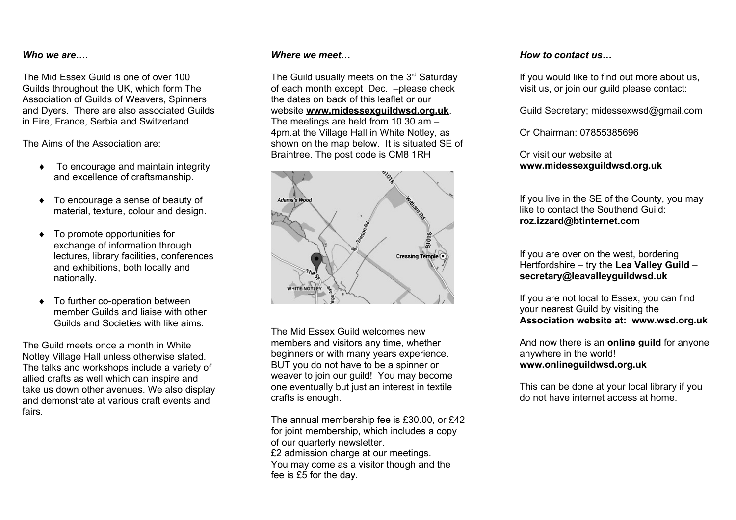### *Who we are….*

The Mid Essex Guild is one of over 100 Guilds throughout the UK, which form The Association of Guilds of Weavers, Spinners and Dyers. There are also associated Guilds in Eire, France, Serbia and Switzerland

The Aims of the Association are:

- ◆ To encourage and maintain integrity and excellence of craftsmanship.
- ◆ To encourage a sense of beauty of material, texture, colour and design.
- To promote opportunities for exchange of information through lectures, library facilities, conferences and exhibitions, both locally and nationally.
- ◆ To further co-operation between member Guilds and liaise with other Guilds and Societies with like aims.

The Guild meets once a month in White Notley Village Hall unless otherwise stated. The talks and workshops include a variety of allied crafts as well which can inspire and take us down other avenues. We also display and demonstrate at various craft events and fairs.

### *Where we meet…*

The Guild usually meets on the  $3<sup>rd</sup>$  Saturday of each month except Dec. –please check the dates on back of this leaflet or our website **[www.midessexguildwsd.org.uk](http://www.midessexguildwsd.org.uk/)**. The meetings are held from 10.30 am – 4pm.at the Village Hall in White Notley, as shown on the map below. It is situated SE of Braintree. The post code is CM8 1RH



The Mid Essex Guild welcomes new members and visitors any time, whether beginners or with many years experience. BUT you do not have to be a spinner or weaver to join our quild! You may become one eventually but just an interest in textile crafts is enough.

The annual membership fee is £30.00, or £42 for joint membership, which includes a copy of our quarterly newsletter. £2 admission charge at our meetings. You may come as a visitor though and the fee is £5 for the day.

#### *How to contact us…*

If you would like to find out more about us, visit us, or join our guild please contact:

Guild Secretary; midessexwsd@gmail.com

Or Chairman: 07855385696

Or visit our website at **www.midessexguildwsd.org.uk**

If you live in the SE of the County, you may like to contact the Southend Guild: **roz.izzard@btinternet.com**

If you are over on the west, bordering Hertfordshire – try the **Lea Valley Guild** – **secretary@leavalleyguildwsd.uk**

If you are not local to Essex, you can find your nearest Guild by visiting the **Association website at: [www.wsd.org.uk](http://www.wsd.org.uk/)**

And now there is an **online guild** for anyone anywhere in the world! **www.onlineguildwsd.org.uk**

This can be done at your local library if you do not have internet access at home.